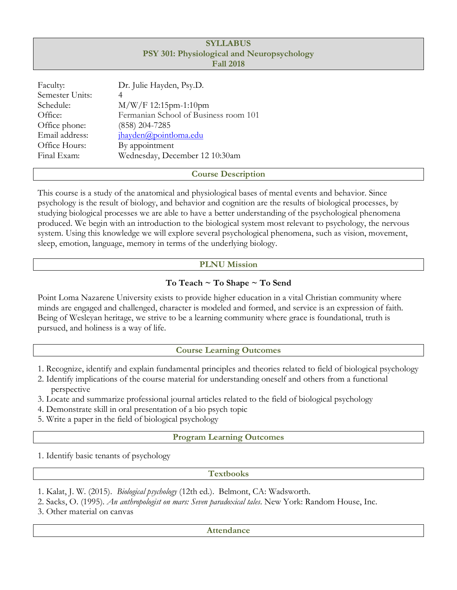# **SYLLABUS PSY 301: Physiological and Neuropsychology Fall 2018**

| Faculty:        | Dr. Julie Hayden, Psy.D.              |
|-----------------|---------------------------------------|
| Semester Units: | 4                                     |
| Schedule:       | $M/W/F 12:15$ pm-1:10pm               |
| Office:         | Fermanian School of Business room 101 |
| Office phone:   | (858) 204-7285                        |
| Email address:  | jhayden@pointloma.edu                 |
| Office Hours:   | By appointment                        |
| Final Exam:     | Wednesday, December 12 10:30am        |
|                 |                                       |

## **Course Description**

This course is a study of the anatomical and physiological bases of mental events and behavior. Since psychology is the result of biology, and behavior and cognition are the results of biological processes, by studying biological processes we are able to have a better understanding of the psychological phenomena produced. We begin with an introduction to the biological system most relevant to psychology, the nervous system. Using this knowledge we will explore several psychological phenomena, such as vision, movement, sleep, emotion, language, memory in terms of the underlying biology.

# **PLNU Mission**

# **To Teach ~ To Shape ~ To Send**

Point Loma Nazarene University exists to provide higher education in a vital Christian community where minds are engaged and challenged, character is modeled and formed, and service is an expression of faith. Being of Wesleyan heritage, we strive to be a learning community where grace is foundational, truth is pursued, and holiness is a way of life.

# **Course Learning Outcomes**

- 1. Recognize, identify and explain fundamental principles and theories related to field of biological psychology
- 2. Identify implications of the course material for understanding oneself and others from a functional perspective
- 3. Locate and summarize professional journal articles related to the field of biological psychology
- 4. Demonstrate skill in oral presentation of a bio psych topic
- 5. Write a paper in the field of biological psychology

# **Program Learning Outcomes**

1. Identify basic tenants of psychology

## **Textbooks**

- 1. Kalat, J. W. (2015). *Biological psychology* (12th ed.). Belmont, CA: Wadsworth.
- 2. Sacks, O. (1995). *An anthropologist on mars: Seven paradoxical tales*. New York: Random House, Inc.

3. Other material on canvas

## **Attendance**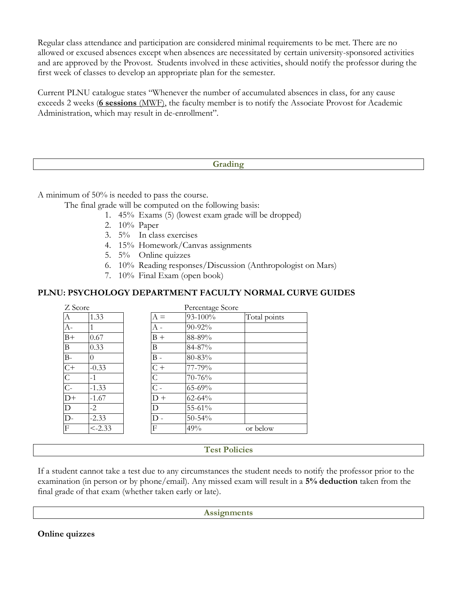Regular class attendance and participation are considered minimal requirements to be met. There are no allowed or excused absences except when absences are necessitated by certain university-sponsored activities and are approved by the Provost. Students involved in these activities, should notify the professor during the first week of classes to develop an appropriate plan for the semester.

Current PLNU catalogue states "Whenever the number of accumulated absences in class, for any cause exceeds 2 weeks (**6 sessions** (MWF), the faculty member is to notify the Associate Provost for Academic Administration, which may result in de-enrollment".

### **Grading**

A minimum of 50% is needed to pass the course.

The final grade will be computed on the following basis:

- 1. 45% Exams (5) (lowest exam grade will be dropped)
- 2. 10% Paper
- 3. 5% In class exercises
- 4. 15% Homework/Canvas assignments
- 5. 5% Online quizzes
- 6. 10% Reading responses/Discussion (Anthropologist on Mars)
- 7. 10% Final Exam (open book)

## **PLNU: PSYCHOLOGY DEPARTMENT FACULTY NORMAL CURVE GUIDES**

| Z Score         |           |                  | Percentage Score |              |
|-----------------|-----------|------------------|------------------|--------------|
| А               | 1.33      | $A =$            | 93-100%          | Total points |
| $A-$            | 1         | А -              | 90-92%           |              |
| $B+$            | 0.67      | $B +$            | 88-89%           |              |
| B               | 0.33      | B                | 84-87%           |              |
| $B-$            | 0         | $B -$            | 80-83%           |              |
| $C+$            | $-0.33$   | $C +$            | 77-79%           |              |
| $\mathsf{C}$    | $-1$      | $\mathsf{C}$     | 70-76%           |              |
| $C -$           | $-1.33$   | $\overline{C}$ - | $65 - 69%$       |              |
| $\overline{D+}$ | $-1.67$   | $D +$            | $62 - 64%$       |              |
| D               | $-2$      | D                | 55-61%           |              |
| D-              | $-2.33$   | D                | $50 - 54\%$      |              |
| F               | $< -2.33$ | F                | 49%              | or below     |

## **Test Policies**

If a student cannot take a test due to any circumstances the student needs to notify the professor prior to the examination (in person or by phone/email). Any missed exam will result in a **5% deduction** taken from the final grade of that exam (whether taken early or late).

**Assignments**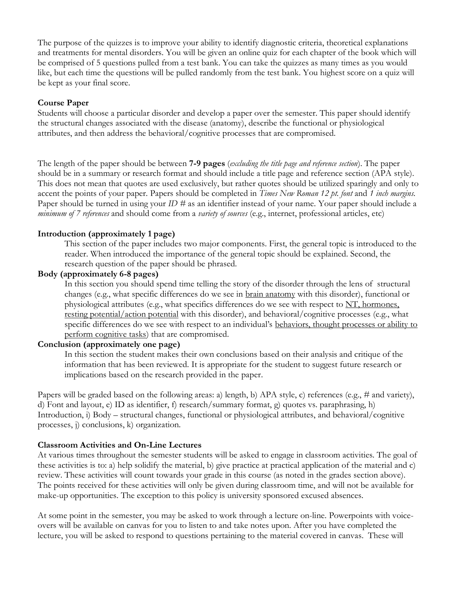The purpose of the quizzes is to improve your ability to identify diagnostic criteria, theoretical explanations and treatments for mental disorders. You will be given an online quiz for each chapter of the book which will be comprised of 5 questions pulled from a test bank. You can take the quizzes as many times as you would like, but each time the questions will be pulled randomly from the test bank. You highest score on a quiz will be kept as your final score.

## **Course Paper**

Students will choose a particular disorder and develop a paper over the semester. This paper should identify the structural changes associated with the disease (anatomy), describe the functional or physiological attributes, and then address the behavioral/cognitive processes that are compromised.

The length of the paper should be between **7-9 pages** (*excluding the title page and reference section*). The paper should be in a summary or research format and should include a title page and reference section (APA style). This does not mean that quotes are used exclusively, but rather quotes should be utilized sparingly and only to accent the points of your paper. Papers should be completed in *Times New Roman 12 pt. font* and *1 inch margins*. Paper should be turned in using your *ID #* as an identifier instead of your name. Your paper should include a *minimum of 7 references* and should come from a *variety of sources* (e.g., internet, professional articles, etc)

### **Introduction (approximately 1 page)**

This section of the paper includes two major components. First, the general topic is introduced to the reader. When introduced the importance of the general topic should be explained. Second, the research question of the paper should be phrased.

### **Body (approximately 6-8 pages)**

In this section you should spend time telling the story of the disorder through the lens of structural changes (e.g., what specific differences do we see in brain anatomy with this disorder), functional or physiological attributes (e.g., what specifics differences do we see with respect to NT, hormones, resting potential/action potential with this disorder), and behavioral/cognitive processes (e.g., what specific differences do we see with respect to an individual's behaviors, thought processes or ability to perform cognitive tasks) that are compromised.

### **Conclusion (approximately one page)**

In this section the student makes their own conclusions based on their analysis and critique of the information that has been reviewed. It is appropriate for the student to suggest future research or implications based on the research provided in the paper.

Papers will be graded based on the following areas: a) length, b) APA style, c) references (e.g., # and variety), d) Font and layout, e) ID as identifier, f) research/summary format, g) quotes vs. paraphrasing, h) Introduction, i) Body – structural changes, functional or physiological attributes, and behavioral/cognitive processes, j) conclusions, k) organization.

### **Classroom Activities and On-Line Lectures**

At various times throughout the semester students will be asked to engage in classroom activities. The goal of these activities is to: a) help solidify the material, b) give practice at practical application of the material and c) review. These activities will count towards your grade in this course (as noted in the grades section above). The points received for these activities will only be given during classroom time, and will not be available for make-up opportunities. The exception to this policy is university sponsored excused absences.

At some point in the semester, you may be asked to work through a lecture on-line. Powerpoints with voiceovers will be available on canvas for you to listen to and take notes upon. After you have completed the lecture, you will be asked to respond to questions pertaining to the material covered in canvas. These will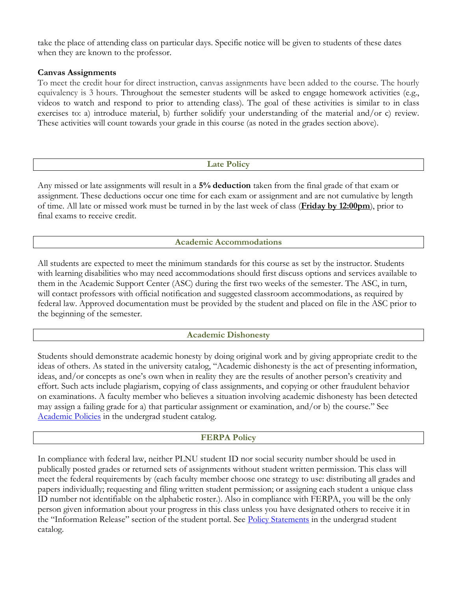take the place of attending class on particular days. Specific notice will be given to students of these dates when they are known to the professor.

## **Canvas Assignments**

To meet the credit hour for direct instruction, canvas assignments have been added to the course. The hourly equivalency is 3 hours. Throughout the semester students will be asked to engage homework activities (e.g., videos to watch and respond to prior to attending class). The goal of these activities is similar to in class exercises to: a) introduce material, b) further solidify your understanding of the material and/or c) review. These activities will count towards your grade in this course (as noted in the grades section above).

## **Late Policy**

Any missed or late assignments will result in a **5% deduction** taken from the final grade of that exam or assignment. These deductions occur one time for each exam or assignment and are not cumulative by length of time. All late or missed work must be turned in by the last week of class (**Friday by 12:00pm**), prior to final exams to receive credit.

## **Academic Accommodations**

All students are expected to meet the minimum standards for this course as set by the instructor. Students with learning disabilities who may need accommodations should first discuss options and services available to them in the Academic Support Center (ASC) during the first two weeks of the semester. The ASC, in turn, will contact professors with official notification and suggested classroom accommodations, as required by federal law. Approved documentation must be provided by the student and placed on file in the ASC prior to the beginning of the semester.

## **Academic Dishonesty**

Students should demonstrate academic honesty by doing original work and by giving appropriate credit to the ideas of others. As stated in the university catalog, "Academic dishonesty is the act of presenting information, ideas, and/or concepts as one's own when in reality they are the results of another person's creativity and effort. Such acts include plagiarism, copying of class assignments, and copying or other fraudulent behavior on examinations. A faculty member who believes a situation involving academic dishonesty has been detected may assign a failing grade for a) that particular assignment or examination, and/or b) the course." See [Academic Policies](http://www.pointloma.edu/experience/academics/catalogs/undergraduate-catalog/point-loma-education/academic-policies) in the undergrad student catalog.

## **FERPA Policy**

In compliance with federal law, neither PLNU student ID nor social security number should be used in publically posted grades or returned sets of assignments without student written permission. This class will meet the federal requirements by (each faculty member choose one strategy to use: distributing all grades and papers individually; requesting and filing written student permission; or assigning each student a unique class ID number not identifiable on the alphabetic roster.). Also in compliance with FERPA, you will be the only person given information about your progress in this class unless you have designated others to receive it in the "Information Release" section of the student portal. See [Policy Statements](http://www.pointloma.edu/experience/academics/catalogs/undergraduate-catalog/policy-statements) in the undergrad student catalog.